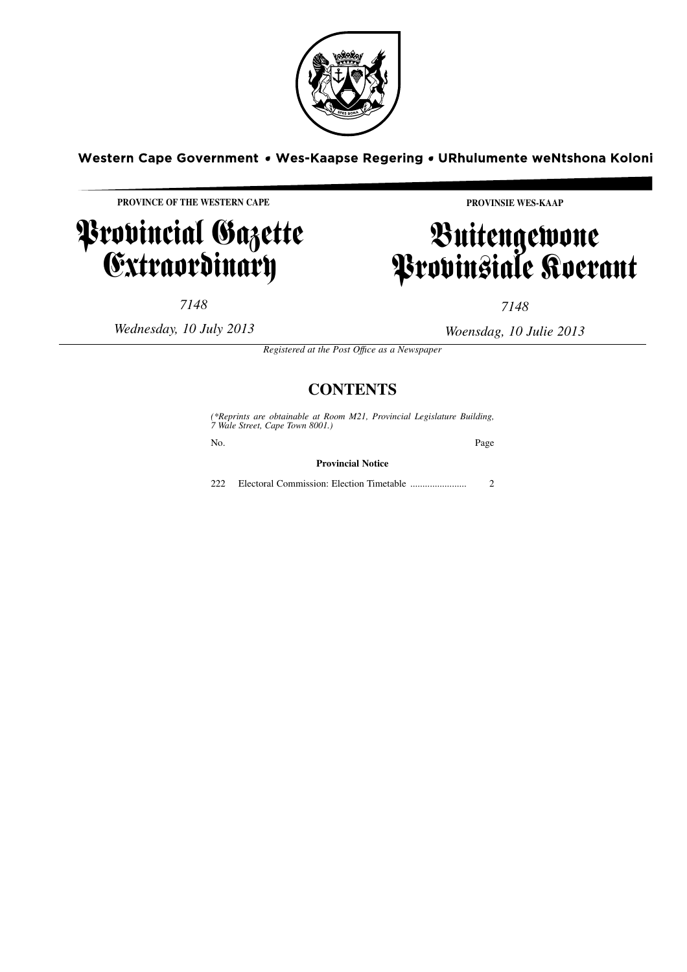

Western Cape Government • Wes-Kaapse Regering • URhulumente weNtshona Koloni

**PROVINCE OF THE WESTERN CAPE**

# Provincial Gazette **Extraordinary**

**PROVINSIE WES-KAAP**

# Buitengewone Provinsiale Koerant

*7148*

*Wednesday, 10 July 2013*

*7148*

*Woensdag, 10 Julie 2013*

*Registered at the Post Offıce as a Newspaper*

# **CONTENTS**

*(\*Reprints are obtainable at Room M21, Provincial Legislature Building, 7 Wale Street, Cape Town 8001.)* No. Page **Provincial Notice** 222 Electoral Commission: Election Timetable ....................... 2